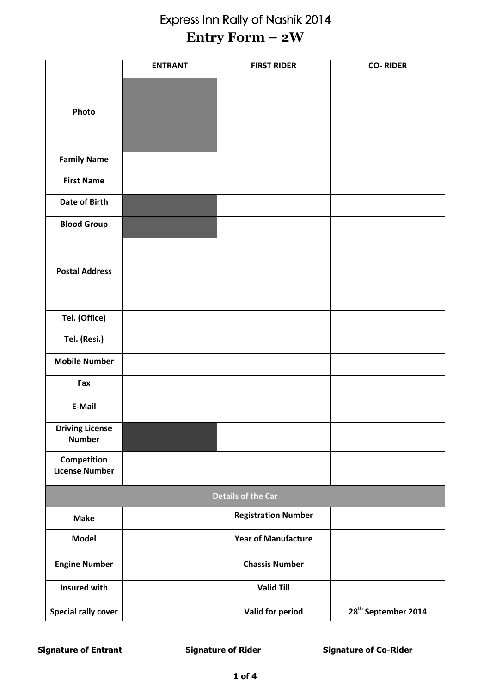# Express Inn Rally of Nashik 2014 **Entry Form – 2W**

|                                         | <b>ENTRANT</b> | <b>FIRST RIDER</b>         | <b>CO-RIDER</b>                 |  |
|-----------------------------------------|----------------|----------------------------|---------------------------------|--|
| Photo                                   |                |                            |                                 |  |
| <b>Family Name</b>                      |                |                            |                                 |  |
| <b>First Name</b>                       |                |                            |                                 |  |
| Date of Birth                           |                |                            |                                 |  |
| <b>Blood Group</b>                      |                |                            |                                 |  |
| <b>Postal Address</b>                   |                |                            |                                 |  |
| Tel. (Office)                           |                |                            |                                 |  |
| Tel. (Resi.)                            |                |                            |                                 |  |
| <b>Mobile Number</b>                    |                |                            |                                 |  |
| Fax                                     |                |                            |                                 |  |
| E-Mail                                  |                |                            |                                 |  |
| <b>Driving License</b><br><b>Number</b> |                |                            |                                 |  |
| Competition<br><b>License Number</b>    |                |                            |                                 |  |
| <b>Details of the Car</b>               |                |                            |                                 |  |
| <b>Make</b>                             |                | <b>Registration Number</b> |                                 |  |
| <b>Model</b>                            |                | <b>Year of Manufacture</b> |                                 |  |
| <b>Engine Number</b>                    |                | <b>Chassis Number</b>      |                                 |  |
| <b>Insured with</b>                     |                | <b>Valid Till</b>          |                                 |  |
| <b>Special rally cover</b>              |                | Valid for period           | 28 <sup>th</sup> September 2014 |  |

**Signature of Entrant Signature of Rider Signature of Co-Rider**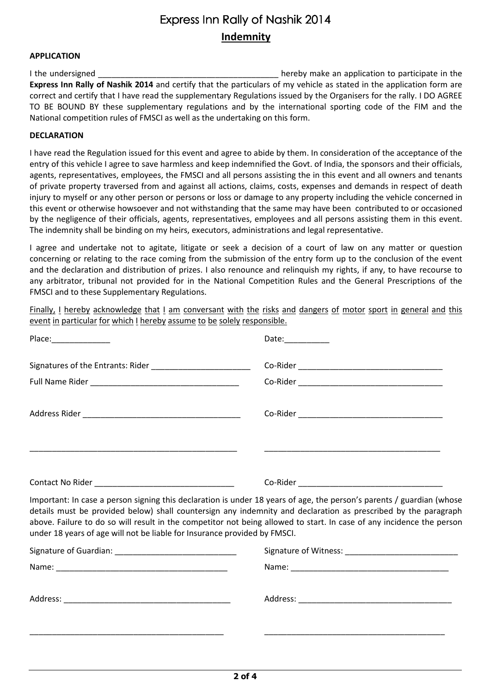### Express Inn Rally of Nashik 2014 **Indemnity**

#### **APPLICATION**

I the undersigned **I** all the undersigned in the set of the set of the set of the set of the set of the set of the set of the set of the set of the set of the set of the set of the set of the set of the set of the set of t **Express Inn Rally of Nashik 2014** and certify that the particulars of my vehicle as stated in the application form are correct and certify that I have read the supplementary Regulations issued by the Organisers for the rally. I DO AGREE TO BE BOUND BY these supplementary regulations and by the international sporting code of the FIM and the National competition rules of FMSCI as well as the undertaking on this form.

#### **DECLARATION**

I have read the Regulation issued for this event and agree to abide by them. In consideration of the acceptance of the entry of this vehicle I agree to save harmless and keep indemnified the Govt. of India, the sponsors and their officials, agents, representatives, employees, the FMSCI and all persons assisting the in this event and all owners and tenants of private property traversed from and against all actions, claims, costs, expenses and demands in respect of death injury to myself or any other person or persons or loss or damage to any property including the vehicle concerned in this event or otherwise howsoever and not withstanding that the same may have been contributed to or occasioned by the negligence of their officials, agents, representatives, employees and all persons assisting them in this event. The indemnity shall be binding on my heirs, executors, administrations and legal representative.

I agree and undertake not to agitate, litigate or seek a decision of a court of law on any matter or question concerning or relating to the race coming from the submission of the entry form up to the conclusion of the event and the declaration and distribution of prizes. I also renounce and relinquish my rights, if any, to have recourse to any arbitrator, tribunal not provided for in the National Competition Rules and the General Prescriptions of the FMSCI and to these Supplementary Regulations.

Finally, I hereby acknowledge that I am conversant with the risks and dangers of motor sport in general and this event in particular for which I hereby assume to be solely responsible.

|                                                                           | Date: ___________                                                                                                                                                                                                                                                                                                                                                |  |
|---------------------------------------------------------------------------|------------------------------------------------------------------------------------------------------------------------------------------------------------------------------------------------------------------------------------------------------------------------------------------------------------------------------------------------------------------|--|
| Signatures of the Entrants: Rider ____________________________            |                                                                                                                                                                                                                                                                                                                                                                  |  |
|                                                                           |                                                                                                                                                                                                                                                                                                                                                                  |  |
|                                                                           |                                                                                                                                                                                                                                                                                                                                                                  |  |
|                                                                           |                                                                                                                                                                                                                                                                                                                                                                  |  |
|                                                                           |                                                                                                                                                                                                                                                                                                                                                                  |  |
| under 18 years of age will not be liable for Insurance provided by FMSCI. | Important: In case a person signing this declaration is under 18 years of age, the person's parents / guardian (whose<br>details must be provided below) shall countersign any indemnity and declaration as prescribed by the paragraph<br>above. Failure to do so will result in the competitor not being allowed to start. In case of any incidence the person |  |
|                                                                           |                                                                                                                                                                                                                                                                                                                                                                  |  |
|                                                                           |                                                                                                                                                                                                                                                                                                                                                                  |  |
|                                                                           |                                                                                                                                                                                                                                                                                                                                                                  |  |
|                                                                           |                                                                                                                                                                                                                                                                                                                                                                  |  |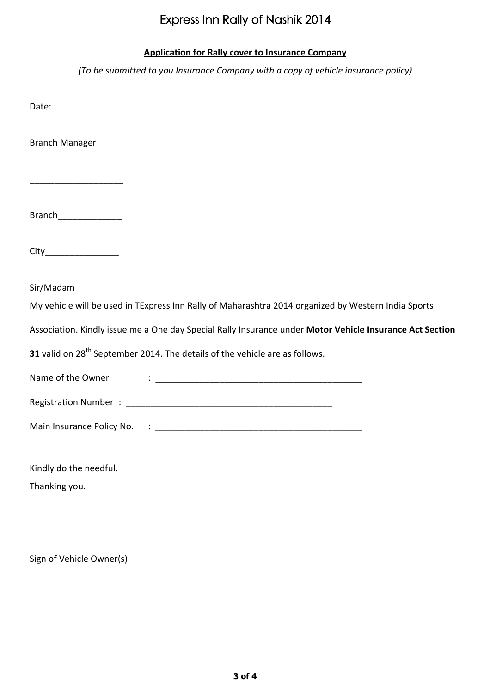## Express Inn Rally of Nashik 2014

### **Application for Rally cover to Insurance Company**

*(To be submitted to you Insurance Company with a copy of vehicle insurance policy)* 

Date:

Branch Manager

Branch\_\_\_\_\_\_\_\_\_\_\_\_\_

 $\overline{\phantom{a}}$  , where  $\overline{\phantom{a}}$  , where  $\overline{\phantom{a}}$  , where  $\overline{\phantom{a}}$ 

City\_\_\_\_\_\_\_\_\_\_\_\_\_\_\_

Sir/Madam

My vehicle will be used in TExpress Inn Rally of Maharashtra 2014 organized by Western India Sports

Association. Kindly issue me a One day Special Rally Insurance under **Motor Vehicle Insurance Act Section** 

**31** valid on 28<sup>th</sup> September 2014. The details of the vehicle are as follows.

Name of the Owner : \_\_\_\_\_\_\_\_\_\_\_\_\_\_\_\_\_\_\_\_\_\_\_\_\_\_\_\_\_\_\_\_\_\_\_\_\_\_\_\_\_\_

Registration Number : \_\_\_\_\_\_\_\_\_\_\_\_\_\_\_\_\_\_\_\_\_\_\_\_\_\_\_\_\_\_\_\_\_\_\_\_\_\_\_\_\_\_

Main Insurance Policy No.  $\therefore$  .  $\therefore$  .  $\therefore$  .  $\therefore$  .  $\therefore$  .  $\therefore$  .  $\therefore$  .  $\therefore$  .  $\therefore$  .  $\therefore$  .  $\therefore$  .  $\therefore$  .  $\therefore$  .  $\therefore$  .  $\therefore$  .  $\therefore$  .  $\therefore$  .  $\therefore$  .  $\therefore$  .  $\therefore$  .  $\therefore$  .  $\therefore$  .  $\therefore$  .  $\therefore$  .  $\therefore$ 

Kindly do the needful.

Thanking you.

Sign of Vehicle Owner(s)